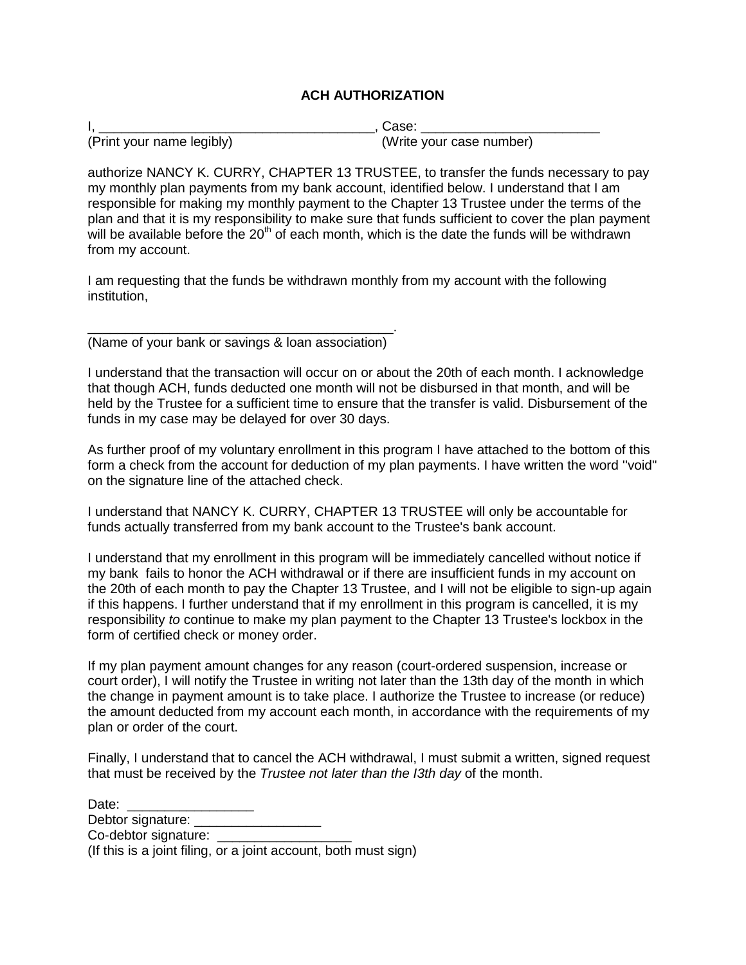## **ACH AUTHORIZATION**

|                           | Case:                    |
|---------------------------|--------------------------|
| (Print your name legibly) | (Write your case number) |

authorize NANCY K. CURRY, CHAPTER 13 TRUSTEE, to transfer the funds necessary to pay my monthly plan payments from my bank account, identified below. I understand that I am responsible for making my monthly payment to the Chapter 13 Trustee under the terms of the plan and that it is my responsibility to make sure that funds sufficient to cover the plan payment will be available before the  $20<sup>th</sup>$  of each month, which is the date the funds will be withdrawn from my account.

I am requesting that the funds be withdrawn monthly from my account with the following institution,

\_\_\_\_\_\_\_\_\_\_\_\_\_\_\_\_\_\_\_\_\_\_\_\_\_\_\_\_\_\_\_\_\_\_\_\_\_\_\_\_\_. (Name of your bank or savings & loan association)

I understand that the transaction will occur on or about the 20th of each month. I acknowledge that though ACH, funds deducted one month will not be disbursed in that month, and will be held by the Trustee for a sufficient time to ensure that the transfer is valid. Disbursement of the funds in my case may be delayed for over 30 days.

As further proof of my voluntary enrollment in this program I have attached to the bottom of this form a check from the account for deduction of my plan payments. I have written the word ''void" on the signature line of the attached check.

I understand that NANCY K. CURRY, CHAPTER 13 TRUSTEE will only be accountable for funds actually transferred from my bank account to the Trustee's bank account.

I understand that my enrollment in this program will be immediately cancelled without notice if my bank fails to honor the ACH withdrawal or if there are insufficient funds in my account on the 20th of each month to pay the Chapter 13 Trustee, and I will not be eligible to sign-up again if this happens. I further understand that if my enrollment in this program is cancelled, it is my responsibility *to* continue to make my plan payment to the Chapter 13 Trustee's lockbox in the form of certified check or money order.

If my plan payment amount changes for any reason (court-ordered suspension, increase or court order), I will notify the Trustee in writing not later than the 13th day of the month in which the change in payment amount is to take place. I authorize the Trustee to increase (or reduce) the amount deducted from my account each month, in accordance with the requirements of my plan or order of the court.

Finally, I understand that to cancel the ACH withdrawal, I must submit a written, signed request that must be received by the *Trustee not later than the I3th day* of the month.

| Date:                                                           |  |
|-----------------------------------------------------------------|--|
| Debtor signature:                                               |  |
| Co-debtor signature:                                            |  |
| (If this is a joint filing, or a joint account, both must sign) |  |